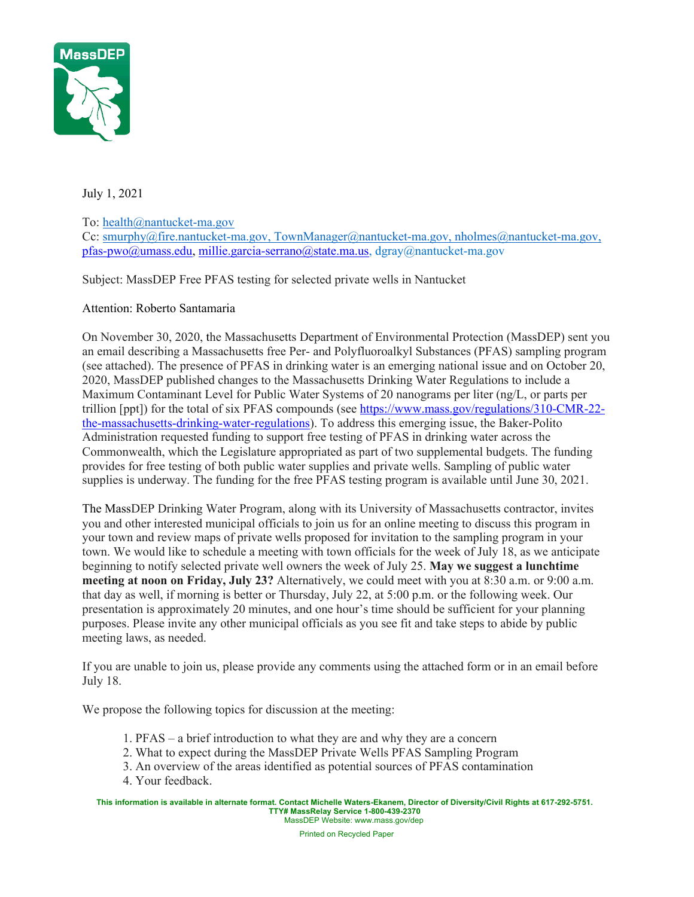

July 1, 2021

## To: health@nantucket-ma.gov

Cc: smurphy@fire.nantucket-ma.gov, TownManager@nantucket-ma.gov, nholmes@nantucket-ma.gov, pfas-pwo@umass.edu, millie.garcia-serrano@state.ma.us, dgray@nantucket-ma.gov

Subject: MassDEP Free PFAS testing for selected private wells in Nantucket

## Attention: Roberto Santamaria

On November 30, 2020, the Massachusetts Department of Environmental Protection (MassDEP) sent you an email describing a Massachusetts free Per- and Polyfluoroalkyl Substances (PFAS) sampling program (see attached). The presence of PFAS in drinking water is an emerging national issue and on October 20, 2020, MassDEP published changes to the Massachusetts Drinking Water Regulations to include a Maximum Contaminant Level for Public Water Systems of 20 nanograms per liter (ng/L, or parts per trillion [ppt]) for the total of six PFAS compounds (see https://www.mass.gov/regulations/310-CMR-22 the-massachusetts-drinking-water-regulations). To address this emerging issue, the Baker-Polito Administration requested funding to support free testing of PFAS in drinking water across the Commonwealth, which the Legislature appropriated as part of two supplemental budgets. The funding provides for free testing of both public water supplies and private wells. Sampling of public water supplies is underway. The funding for the free PFAS testing program is available until June 30, 2021.

The MassDEP Drinking Water Program, along with its University of Massachusetts contractor, invites you and other interested municipal officials to join us for an online meeting to discuss this program in your town and review maps of private wells proposed for invitation to the sampling program in your town. We would like to schedule a meeting with town officials for the week of July 18, as we anticipate beginning to notify selected private well owners the week of July 25. **May we suggest a lunchtime meeting at noon on Friday, July 23?** Alternatively, we could meet with you at 8:30 a.m. or 9:00 a.m. that day as well, if morning is better or Thursday, July 22, at 5:00 p.m. or the following week. Our presentation is approximately 20 minutes, and one hour's time should be sufficient for your planning purposes. Please invite any other municipal officials as you see fit and take steps to abide by public meeting laws, as needed.

If you are unable to join us, please provide any comments using the attached form or in an email before July 18.

We propose the following topics for discussion at the meeting:

- 1. PFAS a brief introduction to what they are and why they are a concern
- 2. What to expect during the MassDEP Private Wells PFAS Sampling Program
- 3. An overview of the areas identified as potential sources of PFAS contamination
- 4. Your feedback.

**This information is available in alternate format. Contact Michelle Waters-Ekanem, Director of Diversity/Civil Rights at 617-292-5751. TTY# MassRelay Service 1-800-439-2370** MassDEP Website: www.mass.gov/dep

Printed on Recycled Paper